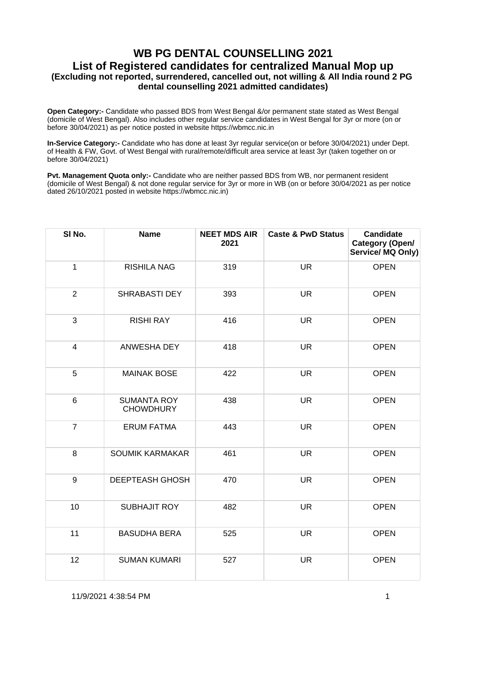**Open Category:-** Candidate who passed BDS from West Bengal &/or permanent state stated as West Bengal (domicile of West Bengal). Also includes other regular service candidates in West Bengal for 3yr or more (on or before 30/04/2021) as per notice posted in website https://wbmcc.nic.in

**In-Service Category:-** Candidate who has done at least 3yr regular service(on or before 30/04/2021) under Dept. of Health & FW, Govt. of West Bengal with rural/remote/difficult area service at least 3yr (taken together on or before 30/04/2021)

**Pvt. Management Quota only:-** Candidate who are neither passed BDS from WB, nor permanent resident (domicile of West Bengal) & not done regular service for 3yr or more in WB (on or before 30/04/2021 as per notice dated 26/10/2021 posted in website https://wbmcc.nic.in)

| SI No.         | <b>Name</b>                            | <b>NEET MDS AIR</b><br>2021 | <b>Caste &amp; PwD Status</b> | <b>Candidate</b><br>Category (Open/<br>Service/ MQ Only) |
|----------------|----------------------------------------|-----------------------------|-------------------------------|----------------------------------------------------------|
| $\mathbf{1}$   | <b>RISHILA NAG</b>                     | 319                         | <b>UR</b>                     | <b>OPEN</b>                                              |
| $\overline{2}$ | <b>SHRABASTI DEY</b>                   | 393                         | <b>UR</b>                     | <b>OPEN</b>                                              |
| 3              | <b>RISHI RAY</b>                       | 416                         | <b>UR</b>                     | <b>OPEN</b>                                              |
| $\overline{4}$ | ANWESHA DEY                            | 418                         | <b>UR</b>                     | <b>OPEN</b>                                              |
| 5              | <b>MAINAK BOSE</b>                     | 422                         | <b>UR</b>                     | <b>OPEN</b>                                              |
| 6              | <b>SUMANTA ROY</b><br><b>CHOWDHURY</b> | 438                         | <b>UR</b>                     | <b>OPEN</b>                                              |
| $\overline{7}$ | <b>ERUM FATMA</b>                      | 443                         | <b>UR</b>                     | <b>OPEN</b>                                              |
| $\bf 8$        | <b>SOUMIK KARMAKAR</b>                 | 461                         | <b>UR</b>                     | <b>OPEN</b>                                              |
| 9              | <b>DEEPTEASH GHOSH</b>                 | 470                         | <b>UR</b>                     | <b>OPEN</b>                                              |
| 10             | <b>SUBHAJIT ROY</b>                    | 482                         | <b>UR</b>                     | <b>OPEN</b>                                              |
| 11             | <b>BASUDHA BERA</b>                    | 525                         | <b>UR</b>                     | <b>OPEN</b>                                              |
| 12             | <b>SUMAN KUMARI</b>                    | 527                         | <b>UR</b>                     | <b>OPEN</b>                                              |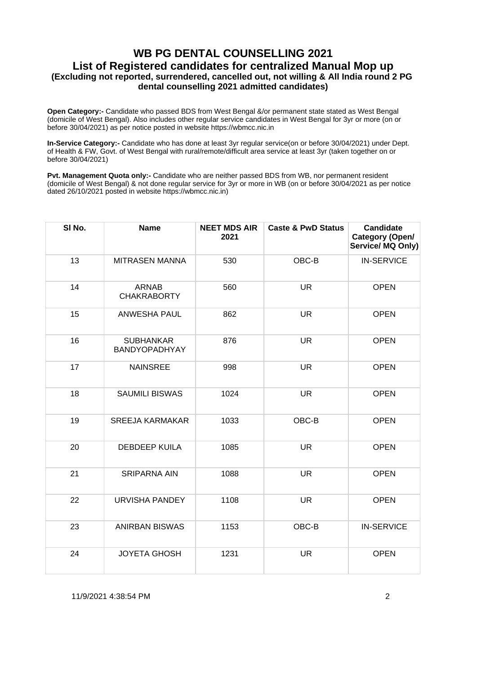**Open Category:-** Candidate who passed BDS from West Bengal &/or permanent state stated as West Bengal (domicile of West Bengal). Also includes other regular service candidates in West Bengal for 3yr or more (on or before 30/04/2021) as per notice posted in website https://wbmcc.nic.in

**In-Service Category:-** Candidate who has done at least 3yr regular service(on or before 30/04/2021) under Dept. of Health & FW, Govt. of West Bengal with rural/remote/difficult area service at least 3yr (taken together on or before 30/04/2021)

**Pvt. Management Quota only:-** Candidate who are neither passed BDS from WB, nor permanent resident (domicile of West Bengal) & not done regular service for 3yr or more in WB (on or before 30/04/2021 as per notice dated 26/10/2021 posted in website https://wbmcc.nic.in)

| SI No. | <b>Name</b>                        | <b>NEET MDS AIR</b><br>2021 | <b>Caste &amp; PwD Status</b> | <b>Candidate</b><br>Category (Open/<br>Service/ MQ Only) |
|--------|------------------------------------|-----------------------------|-------------------------------|----------------------------------------------------------|
| 13     | <b>MITRASEN MANNA</b>              | 530                         | OBC-B                         | <b>IN-SERVICE</b>                                        |
| 14     | <b>ARNAB</b><br><b>CHAKRABORTY</b> | 560                         | <b>UR</b>                     | <b>OPEN</b>                                              |
| 15     | <b>ANWESHA PAUL</b>                | 862                         | <b>UR</b>                     | <b>OPEN</b>                                              |
| 16     | <b>SUBHANKAR</b><br>BANDYOPADHYAY  | 876                         | <b>UR</b>                     | <b>OPEN</b>                                              |
| 17     | <b>NAINSREE</b>                    | 998                         | <b>UR</b>                     | <b>OPEN</b>                                              |
| 18     | <b>SAUMILI BISWAS</b>              | 1024                        | <b>UR</b>                     | <b>OPEN</b>                                              |
| 19     | <b>SREEJA KARMAKAR</b>             | 1033                        | OBC-B                         | <b>OPEN</b>                                              |
| 20     | <b>DEBDEEP KUILA</b>               | 1085                        | <b>UR</b>                     | <b>OPEN</b>                                              |
| 21     | <b>SRIPARNA AIN</b>                | 1088                        | <b>UR</b>                     | <b>OPEN</b>                                              |
| 22     | <b>URVISHA PANDEY</b>              | 1108                        | <b>UR</b>                     | <b>OPEN</b>                                              |
| 23     | <b>ANIRBAN BISWAS</b>              | 1153                        | OBC-B                         | <b>IN-SERVICE</b>                                        |
| 24     | <b>JOYETA GHOSH</b>                | 1231                        | <b>UR</b>                     | <b>OPEN</b>                                              |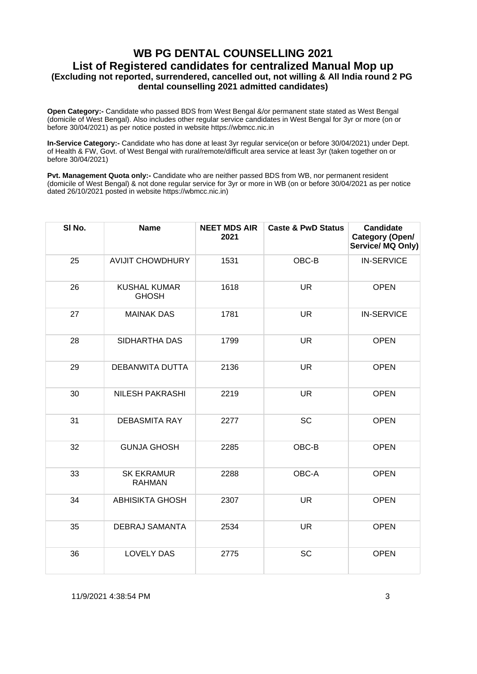**Open Category:-** Candidate who passed BDS from West Bengal &/or permanent state stated as West Bengal (domicile of West Bengal). Also includes other regular service candidates in West Bengal for 3yr or more (on or before 30/04/2021) as per notice posted in website https://wbmcc.nic.in

**In-Service Category:-** Candidate who has done at least 3yr regular service(on or before 30/04/2021) under Dept. of Health & FW, Govt. of West Bengal with rural/remote/difficult area service at least 3yr (taken together on or before 30/04/2021)

**Pvt. Management Quota only:-** Candidate who are neither passed BDS from WB, nor permanent resident (domicile of West Bengal) & not done regular service for 3yr or more in WB (on or before 30/04/2021 as per notice dated 26/10/2021 posted in website https://wbmcc.nic.in)

| SI No. | <b>Name</b>                         | <b>NEET MDS AIR</b><br>2021 | <b>Caste &amp; PwD Status</b> | <b>Candidate</b><br>Category (Open/<br>Service/ MQ Only) |
|--------|-------------------------------------|-----------------------------|-------------------------------|----------------------------------------------------------|
| 25     | <b>AVIJIT CHOWDHURY</b>             | 1531                        | OBC-B                         | <b>IN-SERVICE</b>                                        |
| 26     | <b>KUSHAL KUMAR</b><br><b>GHOSH</b> | 1618                        | <b>UR</b>                     | <b>OPEN</b>                                              |
| 27     | <b>MAINAK DAS</b>                   | 1781                        | <b>UR</b>                     | <b>IN-SERVICE</b>                                        |
| 28     | SIDHARTHA DAS                       | 1799                        | <b>UR</b>                     | <b>OPEN</b>                                              |
| 29     | <b>DEBANWITA DUTTA</b>              | 2136                        | <b>UR</b>                     | <b>OPEN</b>                                              |
| 30     | <b>NILESH PAKRASHI</b>              | 2219                        | <b>UR</b>                     | <b>OPEN</b>                                              |
| 31     | <b>DEBASMITA RAY</b>                | 2277                        | SC                            | <b>OPEN</b>                                              |
| 32     | <b>GUNJA GHOSH</b>                  | 2285                        | OBC-B                         | <b>OPEN</b>                                              |
| 33     | <b>SK EKRAMUR</b><br><b>RAHMAN</b>  | 2288                        | OBC-A                         | <b>OPEN</b>                                              |
| 34     | <b>ABHISIKTA GHOSH</b>              | 2307                        | <b>UR</b>                     | <b>OPEN</b>                                              |
| 35     | <b>DEBRAJ SAMANTA</b>               | 2534                        | <b>UR</b>                     | <b>OPEN</b>                                              |
| 36     | <b>LOVELY DAS</b>                   | 2775                        | <b>SC</b>                     | <b>OPEN</b>                                              |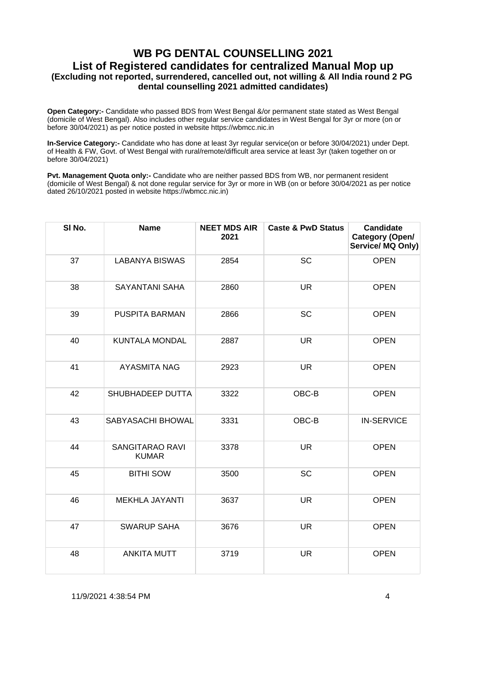**Open Category:-** Candidate who passed BDS from West Bengal &/or permanent state stated as West Bengal (domicile of West Bengal). Also includes other regular service candidates in West Bengal for 3yr or more (on or before 30/04/2021) as per notice posted in website https://wbmcc.nic.in

**In-Service Category:-** Candidate who has done at least 3yr regular service(on or before 30/04/2021) under Dept. of Health & FW, Govt. of West Bengal with rural/remote/difficult area service at least 3yr (taken together on or before 30/04/2021)

**Pvt. Management Quota only:-** Candidate who are neither passed BDS from WB, nor permanent resident (domicile of West Bengal) & not done regular service for 3yr or more in WB (on or before 30/04/2021 as per notice dated 26/10/2021 posted in website https://wbmcc.nic.in)

| SI No. | <b>Name</b>                            | <b>NEET MDS AIR</b><br>2021 | <b>Caste &amp; PwD Status</b> | <b>Candidate</b><br>Category (Open/<br>Service/MQ Only) |
|--------|----------------------------------------|-----------------------------|-------------------------------|---------------------------------------------------------|
| 37     | <b>LABANYA BISWAS</b>                  | 2854                        | <b>SC</b>                     | <b>OPEN</b>                                             |
| 38     | <b>SAYANTANI SAHA</b>                  | 2860                        | <b>UR</b>                     | <b>OPEN</b>                                             |
| 39     | <b>PUSPITA BARMAN</b>                  | 2866                        | <b>SC</b>                     | <b>OPEN</b>                                             |
| 40     | KUNTALA MONDAL                         | 2887                        | <b>UR</b>                     | <b>OPEN</b>                                             |
| 41     | <b>AYASMITA NAG</b>                    | 2923                        | <b>UR</b>                     | <b>OPEN</b>                                             |
| 42     | SHUBHADEEP DUTTA                       | 3322                        | OBC-B                         | <b>OPEN</b>                                             |
| 43     | SABYASACHI BHOWAL                      | 3331                        | OBC-B                         | <b>IN-SERVICE</b>                                       |
| 44     | <b>SANGITARAO RAVI</b><br><b>KUMAR</b> | 3378                        | <b>UR</b>                     | <b>OPEN</b>                                             |
| 45     | <b>BITHI SOW</b>                       | 3500                        | <b>SC</b>                     | <b>OPEN</b>                                             |
| 46     | <b>MEKHLA JAYANTI</b>                  | 3637                        | <b>UR</b>                     | <b>OPEN</b>                                             |
| 47     | <b>SWARUP SAHA</b>                     | 3676                        | <b>UR</b>                     | <b>OPEN</b>                                             |
| 48     | <b>ANKITA MUTT</b>                     | 3719                        | <b>UR</b>                     | <b>OPEN</b>                                             |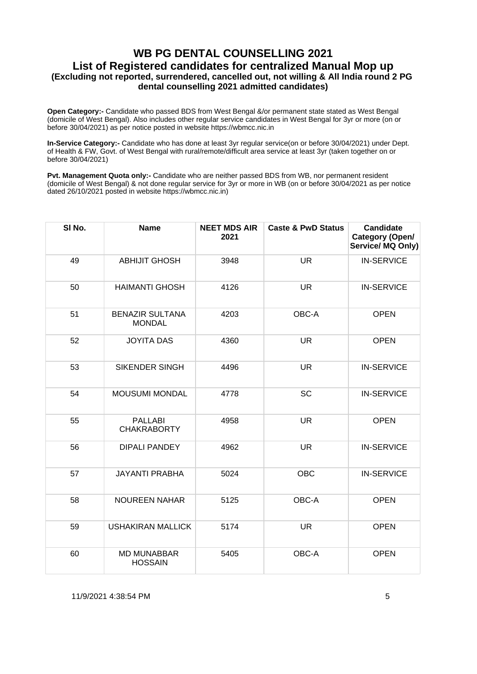**Open Category:-** Candidate who passed BDS from West Bengal &/or permanent state stated as West Bengal (domicile of West Bengal). Also includes other regular service candidates in West Bengal for 3yr or more (on or before 30/04/2021) as per notice posted in website https://wbmcc.nic.in

**In-Service Category:-** Candidate who has done at least 3yr regular service(on or before 30/04/2021) under Dept. of Health & FW, Govt. of West Bengal with rural/remote/difficult area service at least 3yr (taken together on or before 30/04/2021)

**Pvt. Management Quota only:-** Candidate who are neither passed BDS from WB, nor permanent resident (domicile of West Bengal) & not done regular service for 3yr or more in WB (on or before 30/04/2021 as per notice dated 26/10/2021 posted in website https://wbmcc.nic.in)

| SI No. | <b>Name</b>                             | <b>NEET MDS AIR</b><br>2021 | <b>Caste &amp; PwD Status</b> | <b>Candidate</b><br>Category (Open/<br>Service/ MQ Only) |
|--------|-----------------------------------------|-----------------------------|-------------------------------|----------------------------------------------------------|
| 49     | <b>ABHIJIT GHOSH</b>                    | 3948                        | <b>UR</b>                     | <b>IN-SERVICE</b>                                        |
| 50     | <b>HAIMANTI GHOSH</b>                   | 4126                        | <b>UR</b>                     | <b>IN-SERVICE</b>                                        |
| 51     | <b>BENAZIR SULTANA</b><br><b>MONDAL</b> | 4203                        | OBC-A                         | <b>OPEN</b>                                              |
| 52     | <b>JOYITA DAS</b>                       | 4360                        | <b>UR</b>                     | <b>OPEN</b>                                              |
| 53     | <b>SIKENDER SINGH</b>                   | 4496                        | <b>UR</b>                     | <b>IN-SERVICE</b>                                        |
| 54     | MOUSUMI MONDAL                          | 4778                        | <b>SC</b>                     | <b>IN-SERVICE</b>                                        |
| 55     | <b>PALLABI</b><br><b>CHAKRABORTY</b>    | 4958                        | <b>UR</b>                     | <b>OPEN</b>                                              |
| 56     | <b>DIPALI PANDEY</b>                    | 4962                        | <b>UR</b>                     | <b>IN-SERVICE</b>                                        |
| 57     | <b>JAYANTI PRABHA</b>                   | 5024                        | <b>OBC</b>                    | <b>IN-SERVICE</b>                                        |
| 58     | <b>NOUREEN NAHAR</b>                    | 5125                        | OBC-A                         | <b>OPEN</b>                                              |
| 59     | <b>USHAKIRAN MALLICK</b>                | 5174                        | <b>UR</b>                     | <b>OPEN</b>                                              |
| 60     | <b>MD MUNABBAR</b><br><b>HOSSAIN</b>    | 5405                        | OBC-A                         | <b>OPEN</b>                                              |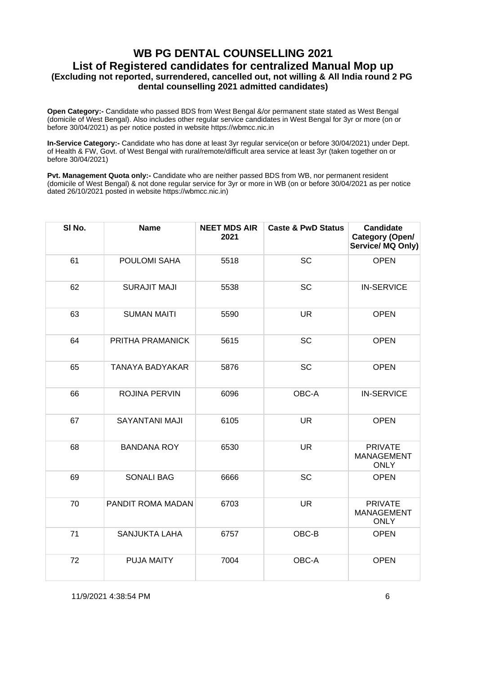**Open Category:-** Candidate who passed BDS from West Bengal &/or permanent state stated as West Bengal (domicile of West Bengal). Also includes other regular service candidates in West Bengal for 3yr or more (on or before 30/04/2021) as per notice posted in website https://wbmcc.nic.in

**In-Service Category:-** Candidate who has done at least 3yr regular service(on or before 30/04/2021) under Dept. of Health & FW, Govt. of West Bengal with rural/remote/difficult area service at least 3yr (taken together on or before 30/04/2021)

**Pvt. Management Quota only:-** Candidate who are neither passed BDS from WB, nor permanent resident (domicile of West Bengal) & not done regular service for 3yr or more in WB (on or before 30/04/2021 as per notice dated 26/10/2021 posted in website https://wbmcc.nic.in)

| SI No. | <b>Name</b>            | <b>NEET MDS AIR</b><br>2021 | <b>Caste &amp; PwD Status</b> | <b>Candidate</b><br>Category (Open/<br>Service/ MQ Only) |
|--------|------------------------|-----------------------------|-------------------------------|----------------------------------------------------------|
| 61     | POULOMI SAHA           | 5518                        | <b>SC</b>                     | <b>OPEN</b>                                              |
| 62     | <b>SURAJIT MAJI</b>    | 5538                        | <b>SC</b>                     | <b>IN-SERVICE</b>                                        |
| 63     | <b>SUMAN MAITI</b>     | 5590                        | <b>UR</b>                     | <b>OPEN</b>                                              |
| 64     | PRITHA PRAMANICK       | 5615                        | <b>SC</b>                     | <b>OPEN</b>                                              |
| 65     | <b>TANAYA BADYAKAR</b> | 5876                        | <b>SC</b>                     | <b>OPEN</b>                                              |
| 66     | <b>ROJINA PERVIN</b>   | 6096                        | OBC-A                         | <b>IN-SERVICE</b>                                        |
| 67     | <b>SAYANTANI MAJI</b>  | 6105                        | <b>UR</b>                     | <b>OPEN</b>                                              |
| 68     | <b>BANDANA ROY</b>     | 6530                        | <b>UR</b>                     | <b>PRIVATE</b><br><b>MANAGEMENT</b><br><b>ONLY</b>       |
| 69     | <b>SONALI BAG</b>      | 6666                        | <b>SC</b>                     | <b>OPEN</b>                                              |
| 70     | PANDIT ROMA MADAN      | 6703                        | <b>UR</b>                     | <b>PRIVATE</b><br><b>MANAGEMENT</b><br><b>ONLY</b>       |
| 71     | <b>SANJUKTA LAHA</b>   | 6757                        | OBC-B                         | <b>OPEN</b>                                              |
| 72     | <b>PUJA MAITY</b>      | 7004                        | OBC-A                         | <b>OPEN</b>                                              |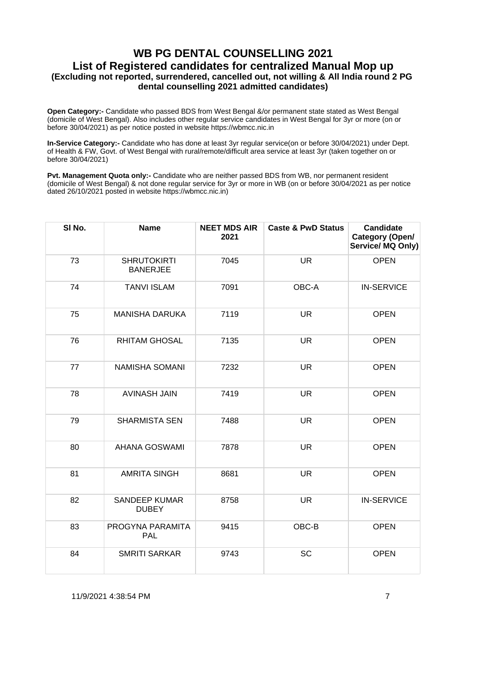**Open Category:-** Candidate who passed BDS from West Bengal &/or permanent state stated as West Bengal (domicile of West Bengal). Also includes other regular service candidates in West Bengal for 3yr or more (on or before 30/04/2021) as per notice posted in website https://wbmcc.nic.in

**In-Service Category:-** Candidate who has done at least 3yr regular service(on or before 30/04/2021) under Dept. of Health & FW, Govt. of West Bengal with rural/remote/difficult area service at least 3yr (taken together on or before 30/04/2021)

**Pvt. Management Quota only:-** Candidate who are neither passed BDS from WB, nor permanent resident (domicile of West Bengal) & not done regular service for 3yr or more in WB (on or before 30/04/2021 as per notice dated 26/10/2021 posted in website https://wbmcc.nic.in)

| SI No. | <b>Name</b>                           | <b>NEET MDS AIR</b><br>2021 | <b>Caste &amp; PwD Status</b> | <b>Candidate</b><br>Category (Open/<br>Service/ MQ Only) |
|--------|---------------------------------------|-----------------------------|-------------------------------|----------------------------------------------------------|
| 73     | <b>SHRUTOKIRTI</b><br><b>BANERJEE</b> | 7045                        | <b>UR</b>                     | <b>OPEN</b>                                              |
| 74     | <b>TANVI ISLAM</b>                    | 7091                        | OBC-A                         | <b>IN-SERVICE</b>                                        |
| 75     | <b>MANISHA DARUKA</b>                 | 7119                        | <b>UR</b>                     | <b>OPEN</b>                                              |
| 76     | <b>RHITAM GHOSAL</b>                  | 7135                        | <b>UR</b>                     | <b>OPEN</b>                                              |
| 77     | NAMISHA SOMANI                        | 7232                        | <b>UR</b>                     | <b>OPEN</b>                                              |
| 78     | <b>AVINASH JAIN</b>                   | 7419                        | <b>UR</b>                     | <b>OPEN</b>                                              |
| 79     | <b>SHARMISTA SEN</b>                  | 7488                        | <b>UR</b>                     | <b>OPEN</b>                                              |
| 80     | <b>AHANA GOSWAMI</b>                  | 7878                        | <b>UR</b>                     | <b>OPEN</b>                                              |
| 81     | <b>AMRITA SINGH</b>                   | 8681                        | <b>UR</b>                     | <b>OPEN</b>                                              |
| 82     | <b>SANDEEP KUMAR</b><br><b>DUBEY</b>  | 8758                        | <b>UR</b>                     | <b>IN-SERVICE</b>                                        |
| 83     | PROGYNA PARAMITA<br><b>PAL</b>        | 9415                        | OBC-B                         | <b>OPEN</b>                                              |
| 84     | <b>SMRITI SARKAR</b>                  | 9743                        | <b>SC</b>                     | <b>OPEN</b>                                              |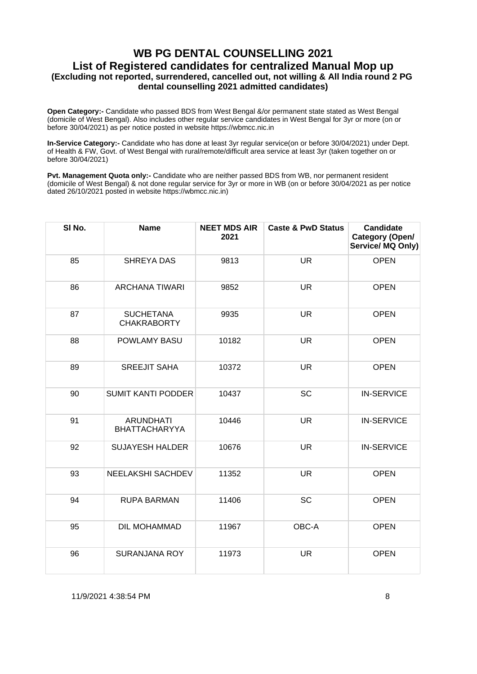**Open Category:-** Candidate who passed BDS from West Bengal &/or permanent state stated as West Bengal (domicile of West Bengal). Also includes other regular service candidates in West Bengal for 3yr or more (on or before 30/04/2021) as per notice posted in website https://wbmcc.nic.in

**In-Service Category:-** Candidate who has done at least 3yr regular service(on or before 30/04/2021) under Dept. of Health & FW, Govt. of West Bengal with rural/remote/difficult area service at least 3yr (taken together on or before 30/04/2021)

**Pvt. Management Quota only:-** Candidate who are neither passed BDS from WB, nor permanent resident (domicile of West Bengal) & not done regular service for 3yr or more in WB (on or before 30/04/2021 as per notice dated 26/10/2021 posted in website https://wbmcc.nic.in)

| SI No. | <b>Name</b>                              | <b>NEET MDS AIR</b><br>2021 | <b>Caste &amp; PwD Status</b> | <b>Candidate</b><br>Category (Open/<br>Service/ MQ Only) |
|--------|------------------------------------------|-----------------------------|-------------------------------|----------------------------------------------------------|
| 85     | <b>SHREYA DAS</b>                        | 9813                        | <b>UR</b>                     | <b>OPEN</b>                                              |
| 86     | <b>ARCHANA TIWARI</b>                    | 9852                        | <b>UR</b>                     | <b>OPEN</b>                                              |
| 87     | <b>SUCHETANA</b><br><b>CHAKRABORTY</b>   | 9935                        | <b>UR</b>                     | <b>OPEN</b>                                              |
| 88     | POWLAMY BASU                             | 10182                       | <b>UR</b>                     | <b>OPEN</b>                                              |
| 89     | <b>SREEJIT SAHA</b>                      | 10372                       | <b>UR</b>                     | <b>OPEN</b>                                              |
| 90     | <b>SUMIT KANTI PODDER</b>                | 10437                       | <b>SC</b>                     | <b>IN-SERVICE</b>                                        |
| 91     | <b>ARUNDHATI</b><br><b>BHATTACHARYYA</b> | 10446                       | <b>UR</b>                     | <b>IN-SERVICE</b>                                        |
| 92     | <b>SUJAYESH HALDER</b>                   | 10676                       | <b>UR</b>                     | <b>IN-SERVICE</b>                                        |
| 93     | <b>NEELAKSHI SACHDEV</b>                 | 11352                       | <b>UR</b>                     | <b>OPEN</b>                                              |
| 94     | <b>RUPA BARMAN</b>                       | 11406                       | <b>SC</b>                     | <b>OPEN</b>                                              |
| 95     | DIL MOHAMMAD                             | 11967                       | OBC-A                         | <b>OPEN</b>                                              |
| 96     | <b>SURANJANA ROY</b>                     | 11973                       | <b>UR</b>                     | <b>OPEN</b>                                              |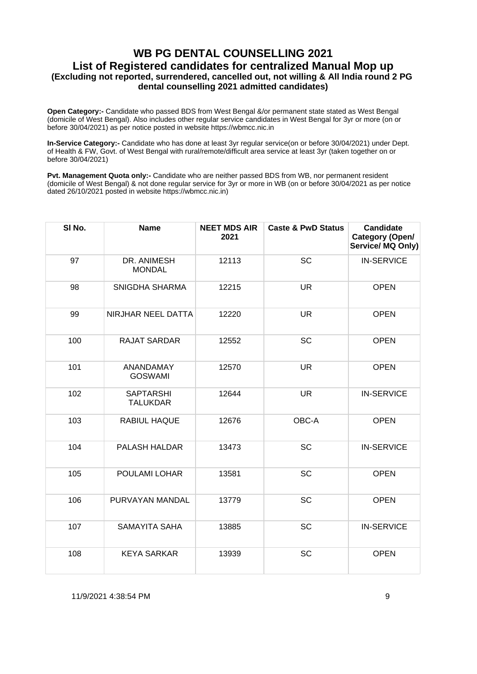**Open Category:-** Candidate who passed BDS from West Bengal &/or permanent state stated as West Bengal (domicile of West Bengal). Also includes other regular service candidates in West Bengal for 3yr or more (on or before 30/04/2021) as per notice posted in website https://wbmcc.nic.in

**In-Service Category:-** Candidate who has done at least 3yr regular service(on or before 30/04/2021) under Dept. of Health & FW, Govt. of West Bengal with rural/remote/difficult area service at least 3yr (taken together on or before 30/04/2021)

**Pvt. Management Quota only:-** Candidate who are neither passed BDS from WB, nor permanent resident (domicile of West Bengal) & not done regular service for 3yr or more in WB (on or before 30/04/2021 as per notice dated 26/10/2021 posted in website https://wbmcc.nic.in)

| SI No. | <b>Name</b>                         | <b>NEET MDS AIR</b><br>2021 | <b>Caste &amp; PwD Status</b> | <b>Candidate</b><br>Category (Open/<br>Service/ MQ Only) |
|--------|-------------------------------------|-----------------------------|-------------------------------|----------------------------------------------------------|
| 97     | DR. ANIMESH<br><b>MONDAL</b>        | 12113                       | <b>SC</b>                     | <b>IN-SERVICE</b>                                        |
| 98     | SNIGDHA SHARMA                      | 12215                       | <b>UR</b>                     | <b>OPEN</b>                                              |
| 99     | NIRJHAR NEEL DATTA                  | 12220                       | <b>UR</b>                     | <b>OPEN</b>                                              |
| 100    | <b>RAJAT SARDAR</b>                 | 12552                       | <b>SC</b>                     | <b>OPEN</b>                                              |
| 101    | <b>ANANDAMAY</b><br><b>GOSWAMI</b>  | 12570                       | <b>UR</b>                     | <b>OPEN</b>                                              |
| 102    | <b>SAPTARSHI</b><br><b>TALUKDAR</b> | 12644                       | <b>UR</b>                     | <b>IN-SERVICE</b>                                        |
| 103    | RABIUL HAQUE                        | 12676                       | OBC-A                         | <b>OPEN</b>                                              |
| 104    | PALASH HALDAR                       | 13473                       | <b>SC</b>                     | <b>IN-SERVICE</b>                                        |
| 105    | POULAMI LOHAR                       | 13581                       | <b>SC</b>                     | <b>OPEN</b>                                              |
| 106    | PURVAYAN MANDAL                     | 13779                       | <b>SC</b>                     | <b>OPEN</b>                                              |
| 107    | SAMAYITA SAHA                       | 13885                       | <b>SC</b>                     | <b>IN-SERVICE</b>                                        |
| 108    | <b>KEYA SARKAR</b>                  | 13939                       | SC                            | <b>OPEN</b>                                              |